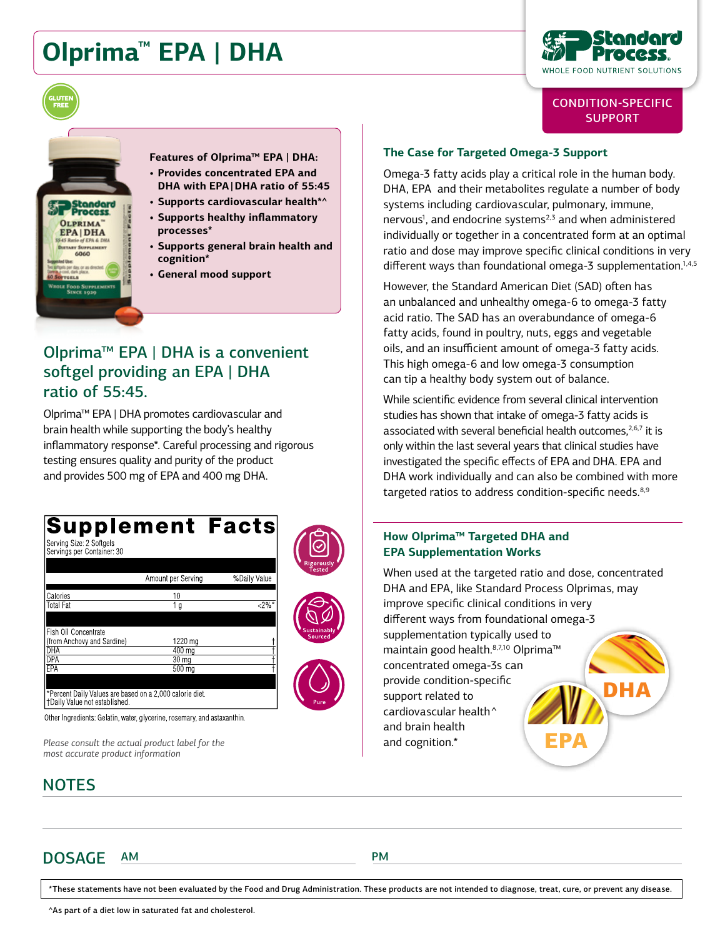# **Olprima™ EPA | DHA**



# CONDITION-SPECIFIC **SUPPORT**

itandard **OLPRIMA EPAIDHA** Supplement<br>060

**Features of Olprima™ EPA | DHA: • Provides concentrated EPA and DHA with EPA | DHA ratio of 55:45**

- **• Supports cardiovascular health\*^**
- **• Supports healthy inflammatory processes\***
- **• Supports general brain health and cognition\***
- **• General mood support**

# Olprima™ EPA | DHA is a convenient softgel providing an EPA | DHA ratio of 55:45.

Olprima™ EPA | DHA promotes cardiovascular and brain health while supporting the body's healthy inflammatory response\*. Careful processing and rigorous testing ensures quality and purity of the product and provides 500 mg of EPA and 400 mg DHA.

#### **Supplement Facts** s<br>erving Size: 2 Softgels<br>Servings per Container: 30 %Daily Value Amount per Serving Calories  $10$  $\overline{<}$ **Total Fat** 1 q Fish Oil Concentrate (from Anchovy and Sardine) 1220 ma 400 ma DHA DPA 30 ma FPA  $500 \text{ m}$ rcent Daily Values are based on a 2,000 calorie diet. †Daily Value not established. Other Ingredients: Gelatin, water, glycerine, rosemary, and astaxanthin.

*Please consult the actual product label for the most accurate product information*

# **NOTES**

# **The Case for Targeted Omega-3 Support**

Omega-3 fatty acids play a critical role in the human body. DHA, EPA and their metabolites regulate a number of body systems including cardiovascular, pulmonary, immune, nervous<sup>1</sup>, and endocrine systems<sup>2,3</sup> and when administered individually or together in a concentrated form at an optimal ratio and dose may improve specific clinical conditions in very different ways than foundational omega-3 supplementation.<sup>1,4,5</sup>

However, the Standard American Diet (SAD) often has an unbalanced and unhealthy omega-6 to omega-3 fatty acid ratio. The SAD has an overabundance of omega-6 fatty acids, found in poultry, nuts, eggs and vegetable oils, and an insufficient amount of omega-3 fatty acids. This high omega-6 and low omega-3 consumption can tip a healthy body system out of balance.

While scientific evidence from several clinical intervention studies has shown that intake of omega-3 fatty acids is associated with several beneficial health outcomes, $2,6,7$  it is only within the last several years that clinical studies have investigated the specific effects of EPA and DHA. EPA and DHA work individually and can also be combined with more targeted ratios to address condition-specific needs.<sup>8,9</sup>

### **How Olprima™ Targeted DHA and EPA Supplementation Works**

DHA EPA When used at the targeted ratio and dose, concentrated DHA and EPA, like Standard Process Olprimas, may improve specific clinical conditions in very different ways from foundational omega-3 supplementation typically used to maintain good health.<sup>8,7,10</sup> Olprima<sup>™</sup> concentrated omega-3s can provide condition-specific support related to cardiovascular health^ and brain health and cognition.\*

DOSAGE AM PM

\*These statements have not been evaluated by the Food and Drug Administration. These products are not intended to diagnose, treat, cure, or prevent any disease.